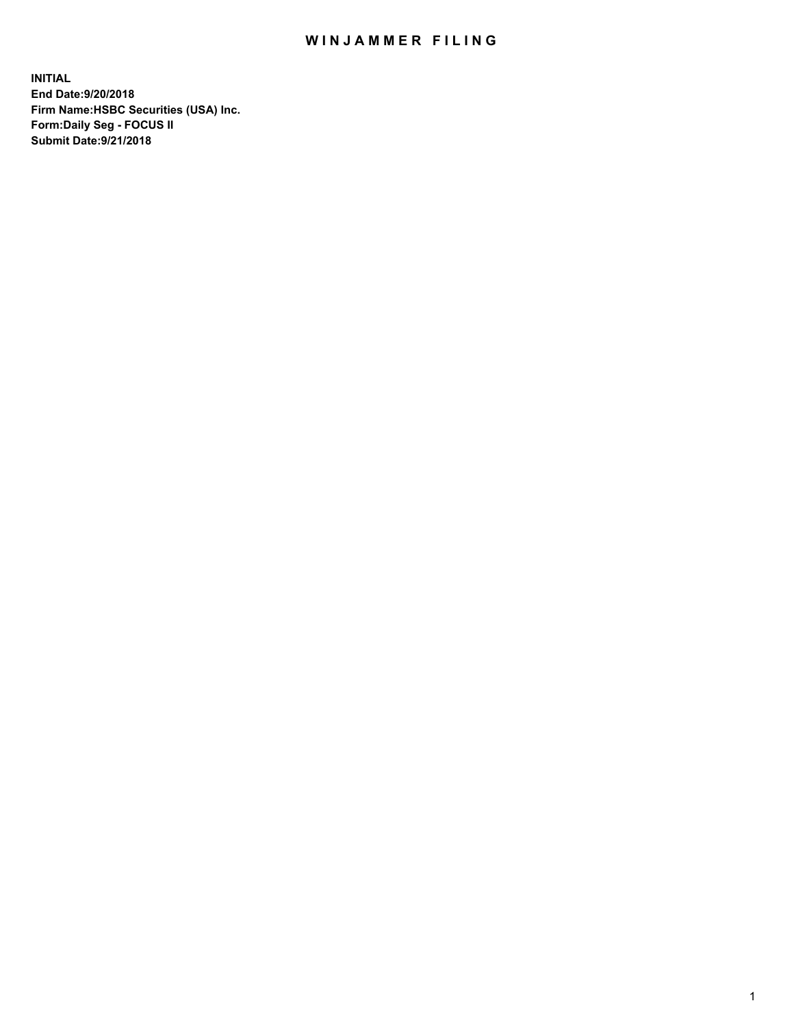## WIN JAMMER FILING

**INITIAL End Date:9/20/2018 Firm Name:HSBC Securities (USA) Inc. Form:Daily Seg - FOCUS II Submit Date:9/21/2018**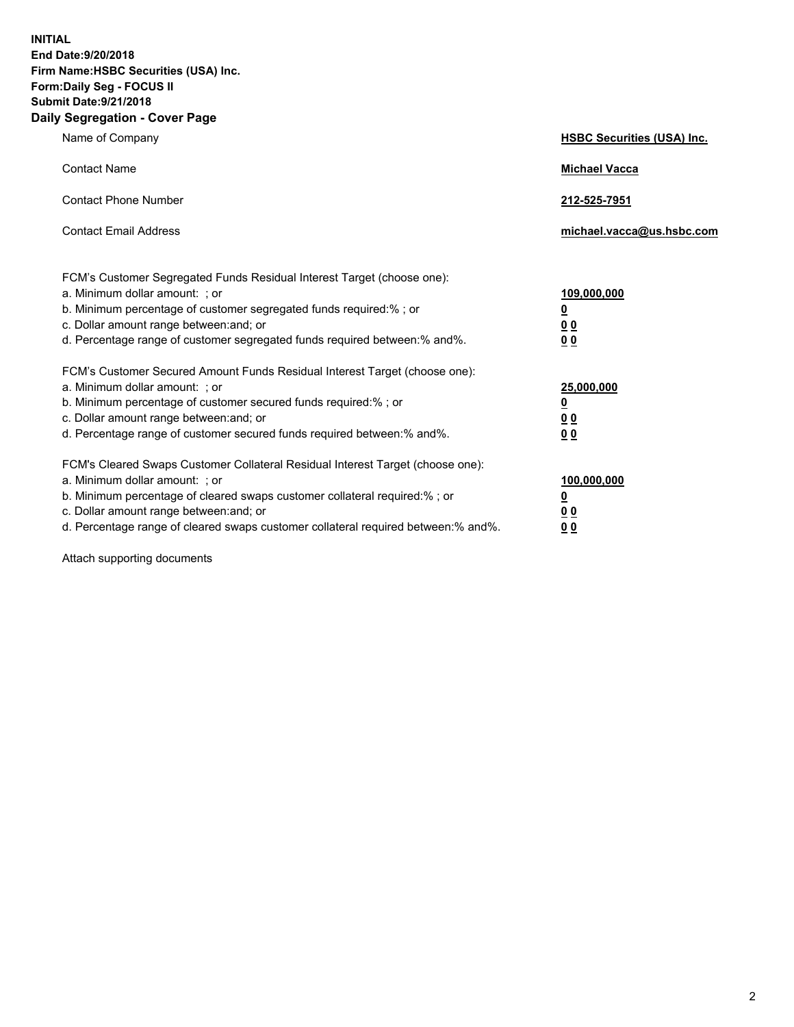**INITIAL End Date:9/20/2018 Firm Name:HSBC Securities (USA) Inc. Form:Daily Seg - FOCUS II Submit Date:9/21/2018 Daily Segregation - Cover Page**

| Name of Company                                                                                                                                                                                                                                                                                                                | <b>HSBC Securities (USA) Inc.</b>                                          |
|--------------------------------------------------------------------------------------------------------------------------------------------------------------------------------------------------------------------------------------------------------------------------------------------------------------------------------|----------------------------------------------------------------------------|
| <b>Contact Name</b>                                                                                                                                                                                                                                                                                                            | <b>Michael Vacca</b>                                                       |
| <b>Contact Phone Number</b>                                                                                                                                                                                                                                                                                                    | 212-525-7951                                                               |
| <b>Contact Email Address</b>                                                                                                                                                                                                                                                                                                   | michael.vacca@us.hsbc.com                                                  |
| FCM's Customer Segregated Funds Residual Interest Target (choose one):<br>a. Minimum dollar amount: ; or<br>b. Minimum percentage of customer segregated funds required:% ; or<br>c. Dollar amount range between: and; or<br>d. Percentage range of customer segregated funds required between:% and%.                         | 109,000,000<br>$\overline{\mathbf{0}}$<br>0 <sub>0</sub><br>0 <sub>0</sub> |
| FCM's Customer Secured Amount Funds Residual Interest Target (choose one):<br>a. Minimum dollar amount: ; or<br>b. Minimum percentage of customer secured funds required:% ; or<br>c. Dollar amount range between: and; or<br>d. Percentage range of customer secured funds required between:% and%.                           | 25,000,000<br>$\overline{\mathbf{0}}$<br>0 <sub>0</sub><br>0 <sub>0</sub>  |
| FCM's Cleared Swaps Customer Collateral Residual Interest Target (choose one):<br>a. Minimum dollar amount: ; or<br>b. Minimum percentage of cleared swaps customer collateral required:% ; or<br>c. Dollar amount range between: and; or<br>d. Percentage range of cleared swaps customer collateral required between:% and%. | 100,000,000<br>$\overline{\mathbf{0}}$<br>0 <sub>0</sub><br>0 <sub>0</sub> |

Attach supporting documents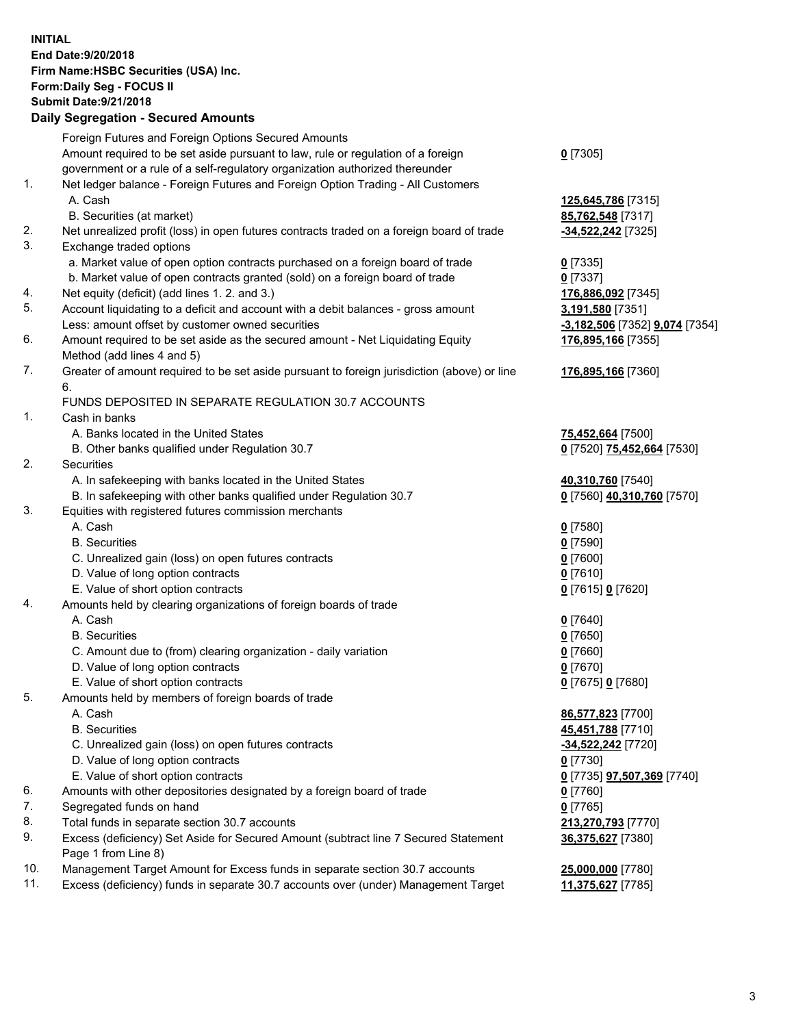**INITIAL End Date:9/20/2018 Firm Name:HSBC Securities (USA) Inc. Form:Daily Seg - FOCUS II Submit Date:9/21/2018 Daily Segregation - Secured Amounts** Foreign Futures and Foreign Options Secured Amounts Amount required to be set aside pursuant to law, rule or regulation of a foreign government or a rule of a self-regulatory organization authorized thereunder **0** [7305] 1. Net ledger balance - Foreign Futures and Foreign Option Trading - All Customers A. Cash **125,645,786** [7315] B. Securities (at market) **85,762,548** [7317] 2. Net unrealized profit (loss) in open futures contracts traded on a foreign board of trade **-34,522,242** [7325] 3. Exchange traded options a. Market value of open option contracts purchased on a foreign board of trade **0** [7335] b. Market value of open contracts granted (sold) on a foreign board of trade **0** [7337] 4. Net equity (deficit) (add lines 1. 2. and 3.) **176,886,092** [7345] 5. Account liquidating to a deficit and account with a debit balances - gross amount **3,191,580** [7351] Less: amount offset by customer owned securities **-3,182,506** [7352] **9,074** [7354] 6. Amount required to be set aside as the secured amount - Net Liquidating Equity Method (add lines 4 and 5) **176,895,166** [7355] 7. Greater of amount required to be set aside pursuant to foreign jurisdiction (above) or line 6. **176,895,166** [7360] FUNDS DEPOSITED IN SEPARATE REGULATION 30.7 ACCOUNTS 1. Cash in banks A. Banks located in the United States **75,452,664** [7500] B. Other banks qualified under Regulation 30.7 **0** [7520] **75,452,664** [7530] 2. Securities A. In safekeeping with banks located in the United States **40,310,760** [7540] B. In safekeeping with other banks qualified under Regulation 30.7 **0** [7560] **40,310,760** [7570] 3. Equities with registered futures commission merchants A. Cash **0** [7580] B. Securities **0** [7590] C. Unrealized gain (loss) on open futures contracts **0** [7600] D. Value of long option contracts **0** [7610] E. Value of short option contracts **0** [7615] **0** [7620] 4. Amounts held by clearing organizations of foreign boards of trade A. Cash **0** [7640] B. Securities **0** [7650] C. Amount due to (from) clearing organization - daily variation **0** [7660] D. Value of long option contracts **0** [7670] E. Value of short option contracts **0** [7675] **0** [7680] 5. Amounts held by members of foreign boards of trade A. Cash **86,577,823** [7700] B. Securities **45,451,788** [7710] C. Unrealized gain (loss) on open futures contracts **-34,522,242** [7720] D. Value of long option contracts **0** [7730] E. Value of short option contracts **0** [7735] **97,507,369** [7740] 6. Amounts with other depositories designated by a foreign board of trade **0** [7760] 7. Segregated funds on hand **0** [7765] 8. Total funds in separate section 30.7 accounts **213,270,793** [7770] 9. Excess (deficiency) Set Aside for Secured Amount (subtract line 7 Secured Statement **36,375,627** [7380]

Page 1 from Line 8)

10. Management Target Amount for Excess funds in separate section 30.7 accounts **25,000,000** [7780] 11. Excess (deficiency) funds in separate 30.7 accounts over (under) Management Target **11,375,627** [7785]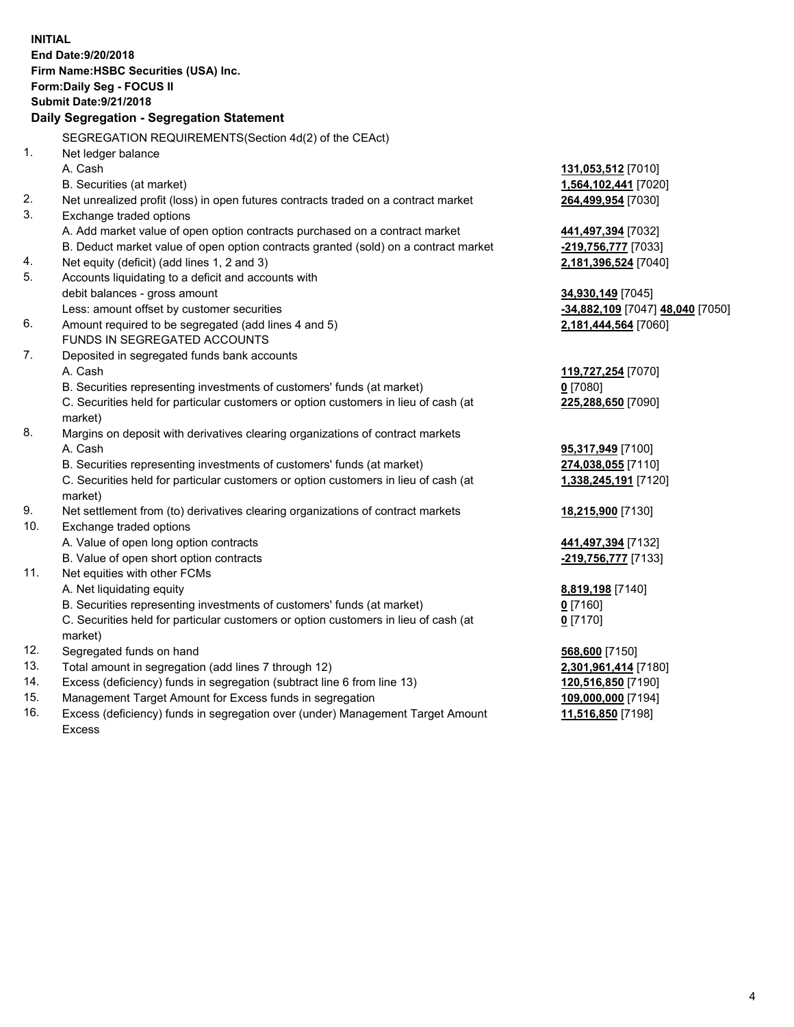**INITIAL End Date:9/20/2018 Firm Name:HSBC Securities (USA) Inc. Form:Daily Seg - FOCUS II Submit Date:9/21/2018 Daily Segregation - Segregation Statement** SEGREGATION REQUIREMENTS(Section 4d(2) of the CEAct) 1. Net ledger balance A. Cash **131,053,512** [7010] B. Securities (at market) **1,564,102,441** [7020] 2. Net unrealized profit (loss) in open futures contracts traded on a contract market **264,499,954** [7030] 3. Exchange traded options A. Add market value of open option contracts purchased on a contract market **441,497,394** [7032] B. Deduct market value of open option contracts granted (sold) on a contract market **-219,756,777** [7033] 4. Net equity (deficit) (add lines 1, 2 and 3) **2,181,396,524** [7040] 5. Accounts liquidating to a deficit and accounts with debit balances - gross amount **34,930,149** [7045] Less: amount offset by customer securities **-34,882,109** [7047] **48,040** [7050] 6. Amount required to be segregated (add lines 4 and 5) **2,181,444,564** [7060] FUNDS IN SEGREGATED ACCOUNTS 7. Deposited in segregated funds bank accounts A. Cash **119,727,254** [7070] B. Securities representing investments of customers' funds (at market) **0** [7080] C. Securities held for particular customers or option customers in lieu of cash (at market) **225,288,650** [7090] 8. Margins on deposit with derivatives clearing organizations of contract markets A. Cash **95,317,949** [7100] B. Securities representing investments of customers' funds (at market) **274,038,055** [7110] C. Securities held for particular customers or option customers in lieu of cash (at market) **1,338,245,191** [7120] 9. Net settlement from (to) derivatives clearing organizations of contract markets **18,215,900** [7130] 10. Exchange traded options A. Value of open long option contracts **441,497,394** [7132] B. Value of open short option contracts **-219,756,777** [7133] 11. Net equities with other FCMs A. Net liquidating equity **8,819,198** [7140] B. Securities representing investments of customers' funds (at market) **0** [7160] C. Securities held for particular customers or option customers in lieu of cash (at market) **0** [7170] 12. Segregated funds on hand **568,600** [7150] 13. Total amount in segregation (add lines 7 through 12) **2,301,961,414** [7180] 14. Excess (deficiency) funds in segregation (subtract line 6 from line 13) **120,516,850** [7190] 15. Management Target Amount for Excess funds in segregation **109,000,000** [7194] 16. Excess (deficiency) funds in segregation over (under) Management Target Amount **11,516,850** [7198]

Excess